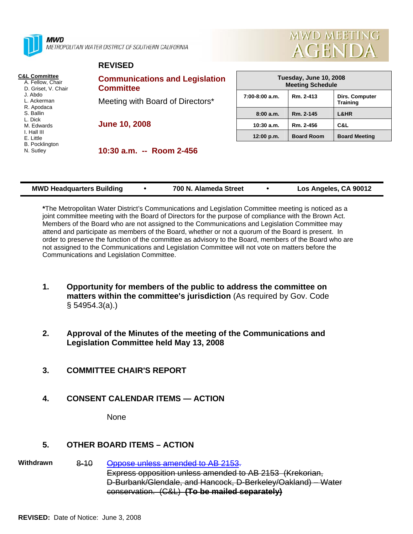

**MWD** METROPOLITAN WATER DISTRICT OF SOUTHERN CALIFORNIA



#### **REVISED**

- **C&L Committee** A. Fellow, Chair
	- D. Griset, V. Chair J. Abdo L. Ackerman R. Apodaca S. Ballin L. Dick M. Edwards I. Hall III E. Little
	- B. Pocklington
	- N. Sutley

**Communications and Legislation Committee**  Meeting with Board of Directors\*

**June 10, 2008** 

**10:30 a.m. -- Room 2-456** 

| Tuesday, June 10, 2008<br><b>Meeting Schedule</b> |                   |                       |  |  |
|---------------------------------------------------|-------------------|-----------------------|--|--|
| $7:00-8:00$ a.m.<br>Rm. 2-413<br><b>Training</b>  |                   | <b>Dirs. Computer</b> |  |  |
| 8:00a.m.                                          | Rm. 2-145         | L&HR                  |  |  |
| $10:30$ a.m.                                      | Rm. 2-456         | C&L                   |  |  |
| 12:00 p.m.                                        | <b>Board Room</b> | <b>Board Meeting</b>  |  |  |

| <b>MWD Headquarters Building</b> |  | 700 N. Alameda Street |  | Los Angeles, CA 90012 |
|----------------------------------|--|-----------------------|--|-----------------------|
|----------------------------------|--|-----------------------|--|-----------------------|

**\***The Metropolitan Water District's Communications and Legislation Committee meeting is noticed as a joint committee meeting with the Board of Directors for the purpose of compliance with the Brown Act. Members of the Board who are not assigned to the Communications and Legislation Committee may attend and participate as members of the Board, whether or not a quorum of the Board is present. In order to preserve the function of the committee as advisory to the Board, members of the Board who are not assigned to the Communications and Legislation Committee will not vote on matters before the Communications and Legislation Committee.

- **1. Opportunity for members of the public to address the committee on matters within the committee's jurisdiction** (As required by Gov. Code § 54954.3(a).)
- **2. Approval of the Minutes of the meeting of the Communications and Legislation Committee held May 13, 2008**
- **3. COMMITTEE CHAIR'S REPORT**
- **4. CONSENT CALENDAR ITEMS ACTION**

**None** 

# **5. OTHER BOARD ITEMS – ACTION**

**Withdrawn** 8-10 Oppose unless amended to AB 2153.

Express opposition unless amended to AB 2153 (Krekorian, D-Burbank/Glendale, and Hancock, D-Berkeley/Oakland) – Water conservation. (C&L) **(To be mailed separately)**